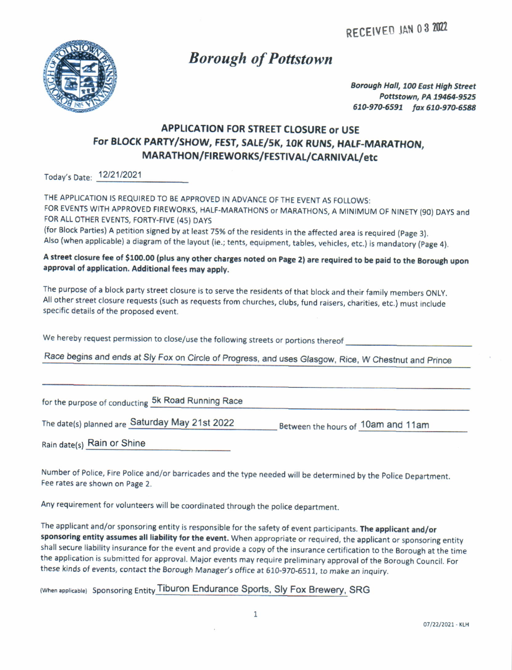RECEIVED JAN 03 2022



# Borough of Pottstown

Borough Hall, 100 East High Street Pottstown, PA 19464-9525 610-970-6591 fax 610-970-6588

## APPLICATION FOR STREET CLOSURE or USE For BLOCK PARTY/SHOW, FEST, SALE/5K, 10K RUNS, HALF-MARATHON, MARATHON/FIREWORKS/FESTIVAL/CARNIVAL/etc

Today's Date: <sup>1212112021</sup>

THE APPLICATION IS REQUIRED TO BE APPROVED IN ADVANCE OF THE EVENT AS FOLLOWS: FOR EVENTS WITH APPROVED FIREWORKS, HALF-MARATHONS or MARATHONS, A MINIMUM OF NINETY (90) DAYS and FOR ALL OTHER EVENTS, FORTY-FIVE (45) DAYS (for Block Parties) A petition signed by at least 75% of the residents in the affected area is required (page 3). Also (when applicable) a diagram of the layout (ie.; tents, equipment, tables, vehicles, etc.) is mandatory (Page 4).

### A street closure fee of \$100.00 (plus any other charges noted on Page 2) are required to be paid to the Borough upon approval of application. Additional fees may apply.

The purpose of a block party street closure is to serve the residents of that block and their familv members oNLy. All other street closure requests (such as requests from churches, clubs, fund raisers, charities, etc,) must include specific details of the proposed event.

We hereby request permission to close/use the following streets or portions thereof

Race begins and ends at Sly Fox on Circie of Progress, and uses Glasgow, Rice, W Chestnut and prince

for the purpose of conducting 5k Road Running Race

The date(s) planned are Saturday May 21st 2022 Between the hours of 10am and 11am

Rain date(s) Rain or Shine

Number of Police, Fire Police and/or barricades and the type needed will be determined by the Police Department. Fee rates are shown on Page 2.

Any requirement for volunteers will be coordinated through the police department.

The applicant and/or sponsoring entity is responsible for the safety of event participants. The applicant and/or sponsoring entity assumes all liability for the event. When appropriate or required, the applicant or sponsoring entity shall secure liability insurance for the event and provide a copy of the insurance certification to the Borough at the time the application is submitted for approval. Major events may require preliminary approval of the Borough council. For these kinds of events, contact the Borough Manager's office at 610-970-6511, to make an inquiry.

(When applicable) Sponsoring Entity Tiburon Endurance Sports, Sly Fox Brewery, SRG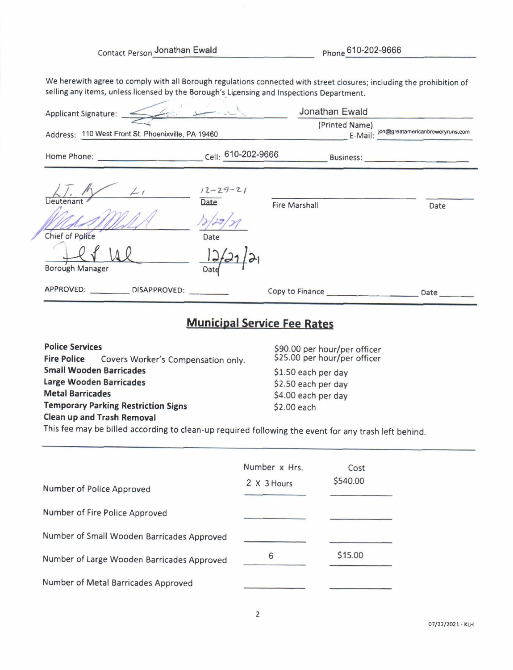Contact Person Jonathan Ewald Phone 610-202-9666

We herewith agree to comply with all Borough regulations connected with street closures; including the prohibition of selling any items, unless licensed by the Borough's Licensing and Inspections Department.

| $\leq$ ( $\leq$ $\leq$ $\leq$ $\sim$ $\sim$ $\sim$<br>Applicant Signature: _<br>Address: 110 West Front St. Phoenixville, PA 19460 |                                                | Jonathan Ewald<br>(Printed Name)<br>E-Mail: | jon@greatamericanbreweryruns.com |
|------------------------------------------------------------------------------------------------------------------------------------|------------------------------------------------|---------------------------------------------|----------------------------------|
| Home Phone: North Science Science Science Science Science Science Science Science Science Science Science Science                  | Cell: 610-202-9666                             | <b>Business:</b>                            |                                  |
| $\angle$ <sub>1</sub><br>Lieutenant<br>Chief of Police<br><b>Borough Manager</b>                                                   | $12 - 29 - 21$<br>Date<br>Date<br>12/2<br>Date | <b>Fire Marshall</b>                        | Date                             |
| APPROVED: _____________DISAPPROVED:                                                                                                |                                                | Copy to Finance                             | Date                             |

## Municipal Service Fee Rates

Police Services Fire Police Covers Worker's Compensation only. Small Wooden Barricades Large Wooden Barricades Metal Barricades Temporary Parking Restriction Signs Clean up and Trash Removal

S90.00 per hour/per officer 525.00 per hour/per officer \$1.50 each per day 52.50 each per day \$4.00 each per day 52.00 each

This fee may be billed according to clean-up required following the event for any trash left behino.

| Number of Police Approved                  | Number x Hrs.<br>2 X 3 Hours | Cost<br>\$540.00 |
|--------------------------------------------|------------------------------|------------------|
| Number of Fire Police Approved             |                              |                  |
| Number of Small Wooden Barricades Approved |                              |                  |
| Number of Large Wooden Barricades Approved | 6                            | \$15.00          |
| Number of Metal Barricades Approved        |                              |                  |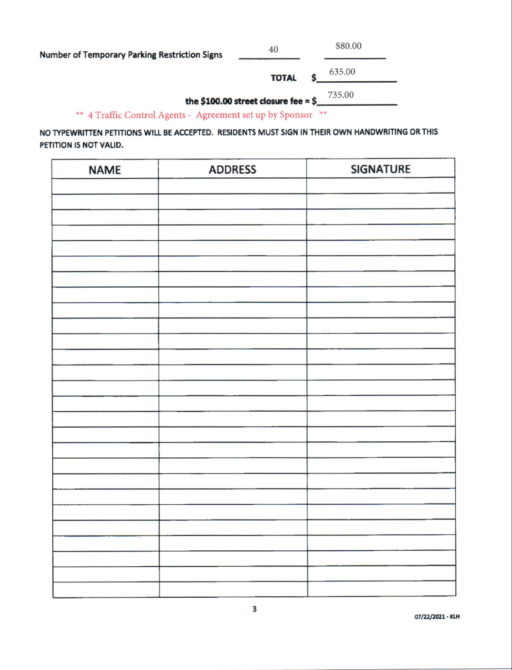**Number of Temporary Parking Restriction Signs** 

\$80.00

635.00 **TOTAL** 

735.00

the \$100.00 street closure fee =  $$$ 

40

\*\* 4 Traffic Control Agents - Agreement set up by Sponsor \*\*

NO TYPEWRITTEN PETITIONS WILL BE ACCEPTED. RESIDENTS MUST SIGN IN THEIR OWN HANDWRITING OR THIS PETITION IS NOT VALID.

| <b>NAME</b> | <b>ADDRESS</b> | <b>SIGNATURE</b> |
|-------------|----------------|------------------|
|             |                |                  |
|             |                |                  |
|             |                |                  |
|             |                |                  |
|             |                |                  |
|             |                |                  |
|             |                |                  |
|             |                |                  |
|             |                |                  |
|             |                |                  |
|             |                |                  |
|             |                |                  |
|             |                |                  |
|             |                |                  |
|             |                |                  |
|             |                |                  |
|             |                |                  |
|             |                |                  |
|             |                |                  |
|             |                |                  |
|             |                |                  |
|             |                |                  |
|             |                |                  |
|             |                |                  |